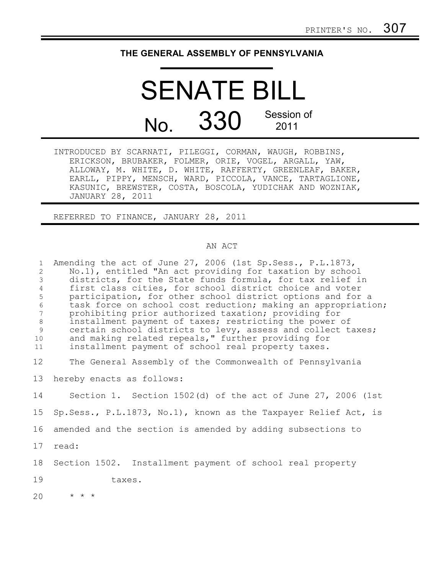## **THE GENERAL ASSEMBLY OF PENNSYLVANIA**

## SENATE BILL No. 330 Session of 2011

INTRODUCED BY SCARNATI, PILEGGI, CORMAN, WAUGH, ROBBINS, ERICKSON, BRUBAKER, FOLMER, ORIE, VOGEL, ARGALL, YAW, ALLOWAY, M. WHITE, D. WHITE, RAFFERTY, GREENLEAF, BAKER, EARLL, PIPPY, MENSCH, WARD, PICCOLA, VANCE, TARTAGLIONE, KASUNIC, BREWSTER, COSTA, BOSCOLA, YUDICHAK AND WOZNIAK, JANUARY 28, 2011

REFERRED TO FINANCE, JANUARY 28, 2011

## AN ACT

| $\mathbf{1}$<br>$\overline{c}$<br>$\mathfrak{Z}$<br>$\overline{4}$<br>5<br>$\sqrt{6}$<br>$7\phantom{.0}$<br>$8\,$<br>$\overline{9}$<br>10<br>11 | Amending the act of June 27, 2006 (1st Sp. Sess., P. L. 1873,<br>No.1), entitled "An act providing for taxation by school<br>districts, for the State funds formula, for tax relief in<br>first class cities, for school district choice and voter<br>participation, for other school district options and for a<br>task force on school cost reduction; making an appropriation;<br>prohibiting prior authorized taxation; providing for<br>installment payment of taxes; restricting the power of<br>certain school districts to levy, assess and collect taxes;<br>and making related repeals," further providing for<br>installment payment of school real property taxes. |
|-------------------------------------------------------------------------------------------------------------------------------------------------|--------------------------------------------------------------------------------------------------------------------------------------------------------------------------------------------------------------------------------------------------------------------------------------------------------------------------------------------------------------------------------------------------------------------------------------------------------------------------------------------------------------------------------------------------------------------------------------------------------------------------------------------------------------------------------|
| 12 <sup>°</sup>                                                                                                                                 | The General Assembly of the Commonwealth of Pennsylvania                                                                                                                                                                                                                                                                                                                                                                                                                                                                                                                                                                                                                       |
| 13                                                                                                                                              | hereby enacts as follows:                                                                                                                                                                                                                                                                                                                                                                                                                                                                                                                                                                                                                                                      |
| 14                                                                                                                                              | Section 1. Section $1502(d)$ of the act of June 27, 2006 (1st                                                                                                                                                                                                                                                                                                                                                                                                                                                                                                                                                                                                                  |
| 15                                                                                                                                              | Sp. Sess., P.L.1873, No.1), known as the Taxpayer Relief Act, is                                                                                                                                                                                                                                                                                                                                                                                                                                                                                                                                                                                                               |
| 16                                                                                                                                              | amended and the section is amended by adding subsections to                                                                                                                                                                                                                                                                                                                                                                                                                                                                                                                                                                                                                    |
| 17                                                                                                                                              | read:                                                                                                                                                                                                                                                                                                                                                                                                                                                                                                                                                                                                                                                                          |
| 18                                                                                                                                              | Section 1502. Installment payment of school real property                                                                                                                                                                                                                                                                                                                                                                                                                                                                                                                                                                                                                      |
| 19                                                                                                                                              | taxes.                                                                                                                                                                                                                                                                                                                                                                                                                                                                                                                                                                                                                                                                         |
| 20                                                                                                                                              | $\star$ $\star$ $\star$                                                                                                                                                                                                                                                                                                                                                                                                                                                                                                                                                                                                                                                        |